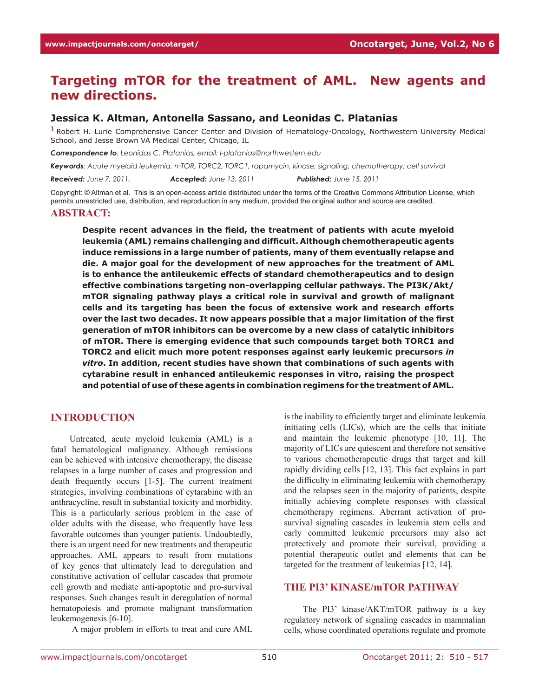# **Targeting mTOR for the treatment of AML. New agents and new directions.**

#### **Jessica K. Altman, Antonella Sassano, and Leonidas C. Platanias**

**<sup>1</sup>**Robert H. Lurie Comprehensive Cancer Center and Division of Hematology-Oncology, Northwestern University Medical School, and Jesse Brown VA Medical Center, Chicago, IL

*Correspondence to: Leonidas C. Platanias, email: l-platanias@northwestern.edu*

*Keywords: Acute myeloid leukemia, mTOR, TORC2, TORC1, rapamycin, kinase, signaling, chemotherapy, cell survival*

*Received: June 7, 2011, Accepted: June 13, 2011 Published: June 15, 2011*

Copyright: © Altman et al. This is an open-access article distributed under the terms of the Creative Commons Attribution License, which permits unrestricted use, distribution, and reproduction in any medium, provided the original author and source are credited.

#### **Abstract:**

**Despite recent advances in the field, the treatment of patients with acute myeloid leukemia (AML) remains challenging and difficult. Although chemotherapeutic agents induce remissions in a large number of patients, many of them eventually relapse and die. A major goal for the development of new approaches for the treatment of AML is to enhance the antileukemic effects of standard chemotherapeutics and to design effective combinations targeting non-overlapping cellular pathways. The PI3K/Akt/ mTOR signaling pathway plays a critical role in survival and growth of malignant cells and its targeting has been the focus of extensive work and research efforts over the last two decades. It now appears possible that a major limitation of the first generation of mTOR inhibitors can be overcome by a new class of catalytic inhibitors of mTOR. There is emerging evidence that such compounds target both TORC1 and TORC2 and elicit much more potent responses against early leukemic precursors** *in vitro***. In addition, recent studies have shown that combinations of such agents with cytarabine result in enhanced antileukemic responses in vitro, raising the prospect and potential of use of these agents in combination regimens for the treatment of AML.** 

#### **INTRODUCTION**

Untreated, acute myeloid leukemia (AML) is a fatal hematological malignancy. Although remissions can be achieved with intensive chemotherapy, the disease relapses in a large number of cases and progression and death frequently occurs [1-5]. The current treatment strategies, involving combinations of cytarabine with an anthracycline, result in substantial toxicity and morbidity. This is a particularly serious problem in the case of older adults with the disease, who frequently have less favorable outcomes than younger patients. Undoubtedly, there is an urgent need for new treatments and therapeutic approaches. AML appears to result from mutations of key genes that ultimately lead to deregulation and constitutive activation of cellular cascades that promote cell growth and mediate anti-apoptotic and pro-survival responses. Such changes result in deregulation of normal hematopoiesis and promote malignant transformation leukemogenesis [6-10].

A major problem in efforts to treat and cure AML

is the inability to efficiently target and eliminate leukemia initiating cells (LICs), which are the cells that initiate and maintain the leukemic phenotype [10, 11]. The majority of LICs are quiescent and therefore not sensitive to various chemotherapeutic drugs that target and kill rapidly dividing cells [12, 13]. This fact explains in part the difficulty in eliminating leukemia with chemotherapy and the relapses seen in the majority of patients, despite initially achieving complete responses with classical chemotherapy regimens. Aberrant activation of prosurvival signaling cascades in leukemia stem cells and early committed leukemic precursors may also act protectively and promote their survival, providing a potential therapeutic outlet and elements that can be targeted for the treatment of leukemias [12, 14].

### **THE PI3' KINASE/mTOR PATHWAY**

The PI3' kinase/AKT/mTOR pathway is a key regulatory network of signaling cascades in mammalian cells, whose coordinated operations regulate and promote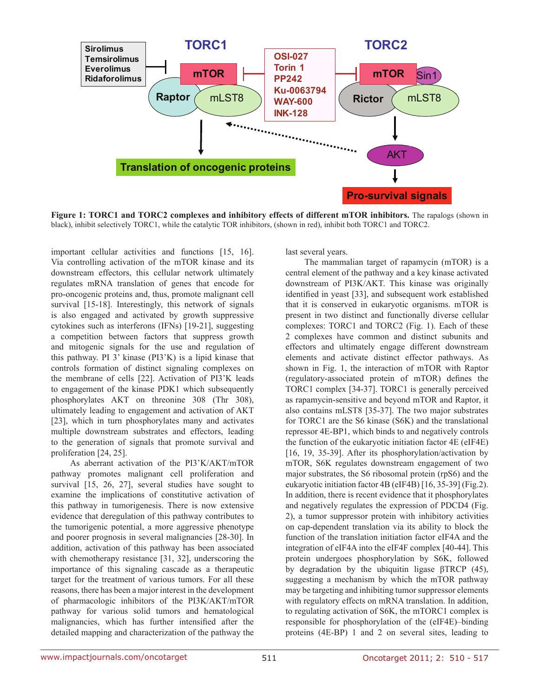

**Figure 1: TORC1 and TORC2 complexes and inhibitory effects of different mTOR inhibitors.** The rapalogs (shown in black), inhibit selectively TORC1, while the catalytic TOR inhibitors, (shown in red), inhibit both TORC1 and TORC2.

important cellular activities and functions [15, 16]. Via controlling activation of the mTOR kinase and its downstream effectors, this cellular network ultimately regulates mRNA translation of genes that encode for pro-oncogenic proteins and, thus, promote malignant cell survival [15-18]. Interestingly, this network of signals is also engaged and activated by growth suppressive cytokines such as interferons (IFNs) [19-21], suggesting a competition between factors that suppress growth and mitogenic signals for the use and regulation of this pathway. PI 3' kinase (PI3'K) is a lipid kinase that controls formation of distinct signaling complexes on the membrane of cells [22]. Activation of PI3'K leads to engagement of the kinase PDK1 which subsequently phosphorylates AKT on threonine 308 (Thr 308), ultimately leading to engagement and activation of AKT [23], which in turn phosphorylates many and activates multiple downstream substrates and effectors, leading to the generation of signals that promote survival and proliferation [24, 25].

As aberrant activation of the PI3'K/AKT/mTOR pathway promotes malignant cell proliferation and survival [15, 26, 27], several studies have sought to examine the implications of constitutive activation of this pathway in tumorigenesis. There is now extensive evidence that deregulation of this pathway contributes to the tumorigenic potential, a more aggressive phenotype and poorer prognosis in several malignancies [28-30]. In addition, activation of this pathway has been associated with chemotherapy resistance [31, 32], underscoring the importance of this signaling cascade as a therapeutic target for the treatment of various tumors. For all these reasons, there has been a major interest in the development of pharmacologic inhibitors of the PI3K/AKT/mTOR pathway for various solid tumors and hematological malignancies, which has further intensified after the detailed mapping and characterization of the pathway the

last several years.

The mammalian target of rapamycin (mTOR) is a central element of the pathway and a key kinase activated downstream of PI3K/AKT. This kinase was originally identified in yeast [33], and subsequent work established that it is conserved in eukaryotic organisms. mTOR is present in two distinct and functionally diverse cellular complexes: TORC1 and TORC2 (Fig. 1). Each of these 2 complexes have common and distinct subunits and effectors and ultimately engage different downstream elements and activate distinct effector pathways. As shown in Fig. 1, the interaction of mTOR with Raptor (regulatory-associated protein of mTOR) defines the TORC1 complex [34-37]. TORC1 is generally perceived as rapamycin-sensitive and beyond mTOR and Raptor, it also contains mLST8 [35-37]. The two major substrates for TORC1 are the S6 kinase (S6K) and the translational repressor 4E-BP1, which binds to and negatively controls the function of the eukaryotic initiation factor 4E (eIF4E) [16, 19, 35-39]. After its phosphorylation/activation by mTOR, S6K regulates downstream engagement of two major substrates, the S6 ribosomal protein (rpS6) and the eukaryotic initiation factor 4B (eIF4B) [16, 35-39] (Fig.2). In addition, there is recent evidence that it phosphorylates and negatively regulates the expression of PDCD4 (Fig. 2), a tumor suppressor protein with inhibitory activities on cap-dependent translation via its ability to block the function of the translation initiation factor eIF4A and the integration of eIF4A into the eIF4F complex [40-44]. This protein undergoes phosphorylation by S6K, followed by degradation by the ubiquitin ligase βTRCP (45), suggesting a mechanism by which the mTOR pathway may be targeting and inhibiting tumor suppressor elements with regulatory effects on mRNA translation. In addition, to regulating activation of S6K, the mTORC1 complex is responsible for phosphorylation of the (eIF4E)–binding proteins (4E-BP) 1 and 2 on several sites, leading to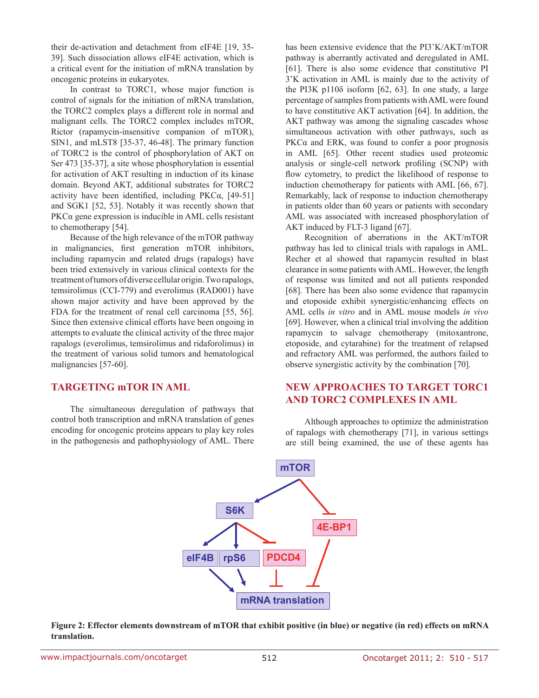their de-activation and detachment from eIF4E [19, 35- 39]. Such dissociation allows eIF4E activation, which is a critical event for the initiation of mRNA translation by oncogenic proteins in eukaryotes.

In contrast to TORC1, whose major function is control of signals for the initiation of mRNA translation, the TORC2 complex plays a different role in normal and malignant cells. The TORC2 complex includes mTOR, Rictor (rapamycin-insensitive companion of mTOR), SIN1, and mLST8 [35-37, 46-48]. The primary function of TORC2 is the control of phosphorylation of AKT on Ser 473 [35-37], a site whose phosphorylation is essential for activation of AKT resulting in induction of its kinase domain. Beyond AKT, additional substrates for TORC2 activity have been identified, including PKCα, [49-51] and SGK1 [52, 53]. Notably it was recently shown that PKCα gene expression is inducible in AML cells resistant to chemotherapy [54].

Because of the high relevance of the mTOR pathway in malignancies, first generation mTOR inhibitors, including rapamycin and related drugs (rapalogs) have been tried extensively in various clinical contexts for the treatment of tumors of diverse cellular origin. Two rapalogs, temsirolimus (CCI-779) and everolimus (RAD001) have shown major activity and have been approved by the FDA for the treatment of renal cell carcinoma [55, 56]. Since then extensive clinical efforts have been ongoing in attempts to evaluate the clinical activity of the three major rapalogs (everolimus, temsirolimus and ridaforolimus) in the treatment of various solid tumors and hematological malignancies [57-60].

## **TARGETING mTOR IN AML**

The simultaneous deregulation of pathways that control both transcription and mRNA translation of genes encoding for oncogenic proteins appears to play key roles in the pathogenesis and pathophysiology of AML. There has been extensive evidence that the PI3'K/AKT/mTOR pathway is aberrantly activated and deregulated in AML [61]. There is also some evidence that constitutive PI 3'K activation in AML is mainly due to the activity of the PI3K p110δ isoform [62, 63]. In one study, a large percentage of samples from patients with AML were found to have constitutive AKT activation [64]. In addition, the AKT pathway was among the signaling cascades whose simultaneous activation with other pathways, such as PKC $\alpha$  and ERK, was found to confer a poor prognosis in AML [65]. Other recent studies used proteomic analysis or single-cell network profiling (SCNP) with flow cytometry, to predict the likelihood of response to induction chemotherapy for patients with AML [66, 67]. Remarkably, lack of response to induction chemotherapy in patients older than 60 years or patients with secondary AML was associated with increased phosphorylation of AKT induced by FLT-3 ligand [67].

Recognition of aberrations in the AKT/mTOR pathway has led to clinical trials with rapalogs in AML. Recher et al showed that rapamycin resulted in blast clearance in some patients with AML. However, the length of response was limited and not all patients responded [68]. There has been also some evidence that rapamycin and etoposide exhibit synergistic/enhancing effects on AML cells *in vitro* and in AML mouse models *in vivo* [69]. However, when a clinical trial involving the addition rapamycin to salvage chemotherapy (mitoxantrone, etoposide, and cytarabine) for the treatment of relapsed and refractory AML was performed, the authors failed to observe synergistic activity by the combination [70].

# **NEW APPROACHES TO TARGET TORC1 AND TORC2 COMPLEXES IN AML**

**mTOR eIF4B S6K rpS6 mRNA translation 4E-BP1 PDCD4**

Although approaches to optimize the administration of rapalogs with chemotherapy [71], in various settings are still being examined, the use of these agents has

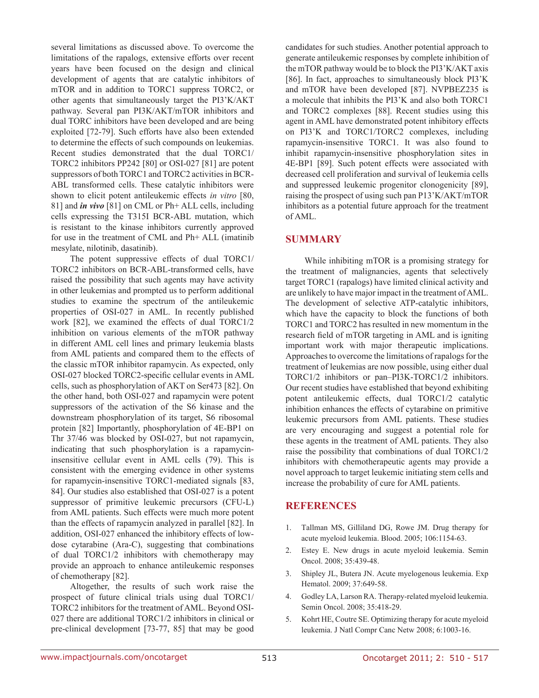several limitations as discussed above. To overcome the limitations of the rapalogs, extensive efforts over recent years have been focused on the design and clinical development of agents that are catalytic inhibitors of mTOR and in addition to TORC1 suppress TORC2, or other agents that simultaneously target the PI3'K/AKT pathway. Several pan PI3K/AKT/mTOR inhibitors and dual TORC inhibitors have been developed and are being exploited [72-79]. Such efforts have also been extended to determine the effects of such compounds on leukemias. Recent studies demonstrated that the dual TORC1/ TORC2 inhibitors PP242 [80] or OSI-027 [81] are potent suppressors of both TORC1 and TORC2 activities in BCR-ABL transformed cells. These catalytic inhibitors were shown to elicit potent antileukemic effects *in vitro* [80, 81] and *in vivo* [81] on CML or Ph+ ALL cells, including cells expressing the T315I BCR-ABL mutation, which is resistant to the kinase inhibitors currently approved for use in the treatment of CML and Ph+ ALL (imatinib mesylate, nilotinib, dasatinib).

The potent suppressive effects of dual TORC1/ TORC2 inhibitors on BCR-ABL-transformed cells, have raised the possibility that such agents may have activity in other leukemias and prompted us to perform additional studies to examine the spectrum of the antileukemic properties of OSI-027 in AML. In recently published work [82], we examined the effects of dual TORC1/2 inhibition on various elements of the mTOR pathway in different AML cell lines and primary leukemia blasts from AML patients and compared them to the effects of the classic mTOR inhibitor rapamycin. As expected, only OSI-027 blocked TORC2-specific cellular events in AML cells, such as phosphorylation of AKT on Ser473 [82]. On the other hand, both OSI-027 and rapamycin were potent suppressors of the activation of the S6 kinase and the downstream phosphorylation of its target, S6 ribosomal protein [82] Importantly, phosphorylation of 4E-BP1 on Thr 37/46 was blocked by OSI-027, but not rapamycin, indicating that such phosphorylation is a rapamycininsensitive cellular event in AML cells (79). This is consistent with the emerging evidence in other systems for rapamycin-insensitive TORC1-mediated signals [83, 84]. Our studies also established that OSI-027 is a potent suppressor of primitive leukemic precursors (CFU-L) from AML patients. Such effects were much more potent than the effects of rapamycin analyzed in parallel [82]. In addition, OSI-027 enhanced the inhibitory effects of lowdose cytarabine (Ara-C), suggesting that combinations of dual TORC1/2 inhibitors with chemotherapy may provide an approach to enhance antileukemic responses of chemotherapy [82].

Altogether, the results of such work raise the prospect of future clinical trials using dual TORC1/ TORC2 inhibitors for the treatment of AML. Beyond OSI-027 there are additional TORC1/2 inhibitors in clinical or pre-clinical development [73-77, 85] that may be good candidates for such studies. Another potential approach to generate antileukemic responses by complete inhibition of the mTOR pathway would be to block the PI3'K/AKT axis [86]. In fact, approaches to simultaneously block PI3'K and mTOR have been developed [87]. NVPBEZ235 is a molecule that inhibits the PI3'K and also both TORC1 and TORC2 complexes [88]. Recent studies using this agent in AML have demonstrated potent inhibitory effects on PI3'K and TORC1/TORC2 complexes, including rapamycin-insensitive TORC1. It was also found to inhibit rapamycin-insensitive phosphorylation sites in 4E-BP1 [89]. Such potent effects were associated with decreased cell proliferation and survival of leukemia cells and suppressed leukemic progenitor clonogenicity [89], raising the prospect of using such pan P13'K/AKT/mTOR inhibitors as a potential future approach for the treatment of AML.

## **SUMMARY**

While inhibiting mTOR is a promising strategy for the treatment of malignancies, agents that selectively target TORC1 (rapalogs) have limited clinical activity and are unlikely to have major impact in the treatment of AML. The development of selective ATP-catalytic inhibitors, which have the capacity to block the functions of both TORC1 and TORC2 has resulted in new momentum in the research field of mTOR targeting in AML and is igniting important work with major therapeutic implications. Approaches to overcome the limitations of rapalogs for the treatment of leukemias are now possible, using either dual TORC1/2 inhibitors or pan–PI3K-TORC1/2 inhibitors. Our recent studies have established that beyond exhibiting potent antileukemic effects, dual TORC1/2 catalytic inhibition enhances the effects of cytarabine on primitive leukemic precursors from AML patients. These studies are very encouraging and suggest a potential role for these agents in the treatment of AML patients. They also raise the possibility that combinations of dual TORC1/2 inhibitors with chemotherapeutic agents may provide a novel approach to target leukemic initiating stem cells and increase the probability of cure for AML patients.

# **REFERENCES**

- 1. Tallman MS, Gilliland DG, Rowe JM. Drug therapy for acute myeloid leukemia. Blood. 2005; 106:1154-63.
- 2. Estey E. New drugs in acute myeloid leukemia. Semin Oncol. 2008; 35:439-48.
- 3. Shipley JL, Butera JN. Acute myelogenous leukemia. Exp Hematol. 2009; 37:649-58.
- 4. Godley LA, Larson RA. Therapy-related myeloid leukemia. Semin Oncol. 2008; 35:418-29.
- 5. Kohrt HE, Coutre SE. Optimizing therapy for acute myeloid leukemia. J Natl Compr Canc Netw 2008; 6:1003-16.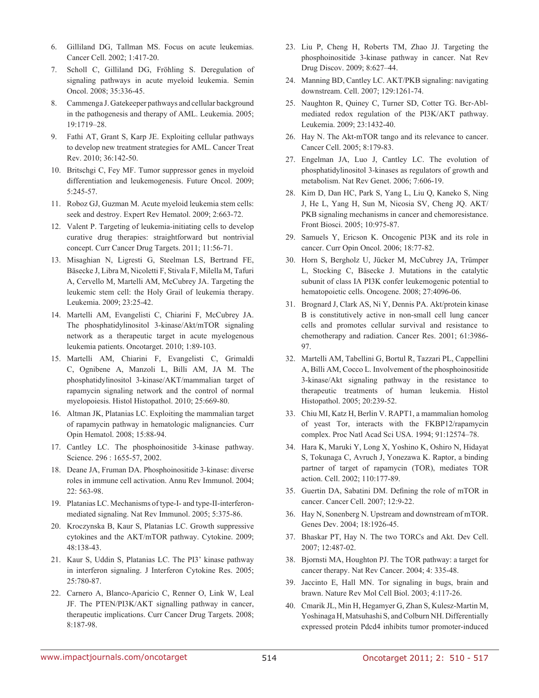- 6. Gilliland DG, Tallman MS. Focus on acute leukemias. Cancer Cell. 2002; 1:417-20.
- 7. Scholl C, Gilliland DG, Fröhling S. Deregulation of signaling pathways in acute myeloid leukemia. Semin Oncol. 2008; 35:336-45.
- 8. Cammenga J. Gatekeeper pathways and cellular background in the pathogenesis and therapy of AML. Leukemia. 2005; 19:1719–28.
- 9. Fathi AT, Grant S, Karp JE. Exploiting cellular pathways to develop new treatment strategies for AML. Cancer Treat Rev. 2010; 36:142-50.
- 10. Britschgi C, Fey MF. Tumor suppressor genes in myeloid differentiation and leukemogenesis. Future Oncol. 2009; 5:245-57.
- 11. Roboz GJ, Guzman M. Acute myeloid leukemia stem cells: seek and destroy. Expert Rev Hematol. 2009; 2:663-72.
- 12. Valent P. Targeting of leukemia-initiating cells to develop curative drug therapies: straightforward but nontrivial concept. Curr Cancer Drug Targets. 2011; 11:56-71.
- 13. Misaghian N, Ligresti G, Steelman LS, Bertrand FE, Bäsecke J, Libra M, Nicoletti F, Stivala F, Milella M, Tafuri A, Cervello M, Martelli AM, McCubrey JA. Targeting the leukemic stem cell: the Holy Grail of leukemia therapy. Leukemia. 2009; 23:25-42.
- 14. Martelli AM, Evangelisti C, Chiarini F, McCubrey JA. The phosphatidylinositol 3-kinase/Akt/mTOR signaling network as a therapeutic target in acute myelogenous leukemia patients. Oncotarget. 2010; 1:89-103.
- 15. Martelli AM, Chiarini F, Evangelisti C, Grimaldi C, Ognibene A, Manzoli L, Billi AM, JA M. The phosphatidylinositol 3-kinase/AKT/mammalian target of rapamycin signaling network and the control of normal myelopoiesis. Histol Histopathol. 2010; 25:669-80.
- 16. Altman JK, Platanias LC. Exploiting the mammalian target of rapamycin pathway in hematologic malignancies. Curr Opin Hematol. 2008; 15:88-94.
- 17. Cantley LC. The phosphoinositide 3-kinase pathway. Science. 296 : 1655-57, 2002.
- 18. Deane JA, Fruman DA. Phosphoinositide 3-kinase: diverse roles in immune cell activation. Annu Rev Immunol. 2004; 22: 563-98.
- 19. Platanias LC. Mechanisms of type-I- and type-II-interferonmediated signaling. Nat Rev Immunol. 2005; 5:375-86.
- 20. Kroczynska B, Kaur S, Platanias LC. Growth suppressive cytokines and the AKT/mTOR pathway. Cytokine. 2009; 48:138-43.
- 21. Kaur S, Uddin S, Platanias LC. The PI3' kinase pathway in interferon signaling. J Interferon Cytokine Res. 2005; 25:780-87.
- 22. Carnero A, Blanco-Aparicio C, Renner O, Link W, Leal JF. The PTEN/PI3K/AKT signalling pathway in cancer, therapeutic implications. Curr Cancer Drug Targets. 2008; 8:187-98.
- 23. Liu P, Cheng H, Roberts TM, Zhao JJ. Targeting the phosphoinositide 3-kinase pathway in cancer. Nat Rev Drug Discov. 2009; 8:627–44.
- 24. Manning BD, Cantley LC. AKT/PKB signaling: navigating downstream. Cell. 2007; 129:1261-74.
- 25. Naughton R, Quiney C, Turner SD, Cotter TG. Bcr-Ablmediated redox regulation of the PI3K/AKT pathway. Leukemia. 2009; 23:1432-40.
- 26. Hay N. The Akt-mTOR tango and its relevance to cancer. Cancer Cell. 2005; 8:179-83.
- 27. Engelman JA, Luo J, Cantley LC. The evolution of phosphatidylinositol 3-kinases as regulators of growth and metabolism. Nat Rev Genet. 2006; 7:606-19.
- 28. Kim D, Dan HC, Park S, Yang L, Liu Q, Kaneko S, Ning J, He L, Yang H, Sun M, Nicosia SV, Cheng JQ. AKT/ PKB signaling mechanisms in cancer and chemoresistance. Front Biosci. 2005; 10:975-87.
- 29. Samuels Y, Ericson K. Oncogenic PI3K and its role in cancer. Curr Opin Oncol. 2006; 18:77-82.
- 30. Horn S, Bergholz U, Jücker M, McCubrey JA, Trümper L, Stocking C, Bäsecke J. Mutations in the catalytic subunit of class IA PI3K confer leukemogenic potential to hematopoietic cells. Oncogene. 2008; 27:4096-06.
- 31. Brognard J, Clark AS, Ni Y, Dennis PA. Akt/protein kinase B is constitutively active in non-small cell lung cancer cells and promotes cellular survival and resistance to chemotherapy and radiation. Cancer Res. 2001; 61:3986- 97.
- 32. Martelli AM, Tabellini G, Bortul R, Tazzari PL, Cappellini A, Billi AM, Cocco L. Involvement of the phosphoinositide 3-kinase/Akt signaling pathway in the resistance to therapeutic treatments of human leukemia. Histol Histopathol. 2005; 20:239-52.
- 33. Chiu MI, Katz H, Berlin V. RAPT1, a mammalian homolog of yeast Tor, interacts with the FKBP12/rapamycin complex. Proc Natl Acad Sci USA. 1994; 91:12574–78.
- 34. Hara K, Maruki Y, Long X, Yoshino K, Oshiro N, Hidayat S, Tokunaga C, Avruch J, Yonezawa K. Raptor, a binding partner of target of rapamycin (TOR), mediates TOR action. Cell. 2002; 110:177-89.
- 35. Guertin DA, Sabatini DM. Defining the role of mTOR in cancer. Cancer Cell. 2007; 12:9-22.
- 36. Hay N, Sonenberg N. Upstream and downstream of mTOR. Genes Dev. 2004; 18:1926-45.
- 37. Bhaskar PT, Hay N. The two TORCs and Akt. Dev Cell. 2007; 12:487-02.
- 38. Bjornsti MA, Houghton PJ. The TOR pathway: a target for cancer therapy. Nat Rev Cancer. 2004; 4: 335-48.
- 39. Jaccinto E, Hall MN. Tor signaling in bugs, brain and brawn. Nature Rev Mol Cell Biol. 2003; 4:117-26.
- 40. Cmarik JL, Min H, Hegamyer G, Zhan S, Kulesz-Martin M, Yoshinaga H, Matsuhashi S, and Colburn NH. Differentially expressed protein Pdcd4 inhibits tumor promoter-induced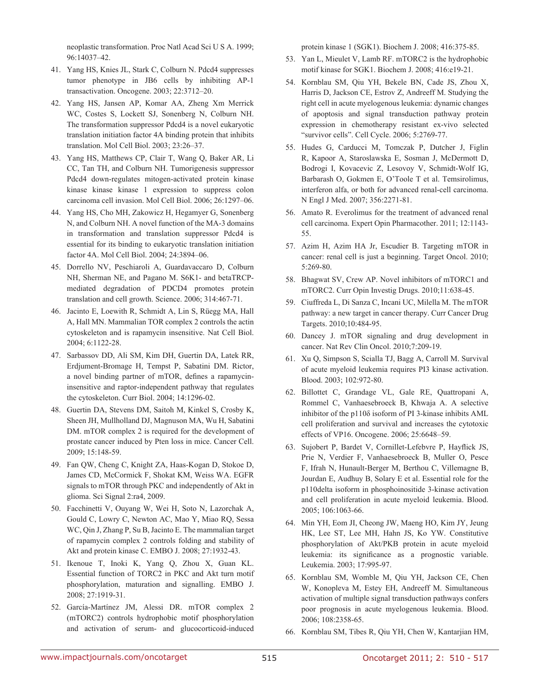neoplastic transformation. Proc Natl Acad Sci U S A. 1999; 96:14037–42.

- 41. Yang HS, Knies JL, Stark C, Colburn N. Pdcd4 suppresses tumor phenotype in JB6 cells by inhibiting AP-1 transactivation. Oncogene. 2003; 22:3712–20.
- 42. Yang HS, Jansen AP, Komar AA, Zheng Xm Merrick WC, Costes S, Lockett SJ, Sonenberg N, Colburn NH. The transformation suppressor Pdcd4 is a novel eukaryotic translation initiation factor 4A binding protein that inhibits translation. Mol Cell Biol. 2003; 23:26–37.
- 43. Yang HS, Matthews CP, Clair T, Wang Q, Baker AR, Li CC, Tan TH, and Colburn NH. Tumorigenesis suppressor Pdcd4 down-regulates mitogen-activated protein kinase kinase kinase kinase 1 expression to suppress colon carcinoma cell invasion. Mol Cell Biol. 2006; 26:1297–06.
- 44. Yang HS, Cho MH, Zakowicz H, Hegamyer G, Sonenberg N, and Colburn NH. A novel function of the MA-3 domains in transformation and translation suppressor Pdcd4 is essential for its binding to eukaryotic translation initiation factor 4A. Mol Cell Biol. 2004; 24:3894–06.
- 45. Dorrello NV, Peschiaroli A, Guardavaccaro D, Colburn NH, Sherman NE, and Pagano M. S6K1- and betaTRCPmediated degradation of PDCD4 promotes protein translation and cell growth. Science. 2006; 314:467-71.
- 46. Jacinto E, Loewith R, Schmidt A, Lin S, Rüegg MA, Hall A, Hall MN. Mammalian TOR complex 2 controls the actin cytoskeleton and is rapamycin insensitive. Nat Cell Biol. 2004; 6:1122-28.
- 47. Sarbassov DD, Ali SM, Kim DH, Guertin DA, Latek RR, Erdjument-Bromage H, Tempst P, Sabatini DM. Rictor, a novel binding partner of mTOR, defines a rapamycininsensitive and raptor-independent pathway that regulates the cytoskeleton. Curr Biol. 2004; 14:1296-02.
- 48. Guertin DA, Stevens DM, Saitoh M, Kinkel S, Crosby K, Sheen JH, Mullholland DJ, Magnuson MA, Wu H, Sabatini DM. mTOR complex 2 is required for the development of prostate cancer induced by Pten loss in mice. Cancer Cell. 2009; 15:148-59.
- 49. Fan QW, Cheng C, Knight ZA, Haas-Kogan D, Stokoe D, James CD, McCormick F, Shokat KM, Weiss WA. EGFR signals to mTOR through PKC and independently of Akt in glioma. Sci Signal 2:ra4, 2009.
- 50. Facchinetti V, Ouyang W, Wei H, Soto N, Lazorchak A, Gould C, Lowry C, Newton AC, Mao Y, Miao RQ, Sessa WC, Qin J, Zhang P, Su B, Jacinto E. The mammalian target of rapamycin complex 2 controls folding and stability of Akt and protein kinase C. EMBO J. 2008; 27:1932-43.
- 51. Ikenoue T, Inoki K, Yang Q, Zhou X, Guan KL. Essential function of TORC2 in PKC and Akt turn motif phosphorylation, maturation and signalling. EMBO J. 2008; 27:1919-31.
- 52. García-Martínez JM, Alessi DR. mTOR complex 2 (mTORC2) controls hydrophobic motif phosphorylation and activation of serum- and glucocorticoid-induced

protein kinase 1 (SGK1). Biochem J. 2008; 416:375-85.

- 53. Yan L, Mieulet V, Lamb RF. mTORC2 is the hydrophobic motif kinase for SGK1. Biochem J. 2008; 416:e19-21.
- 54. Kornblau SM, Qiu YH, Bekele BN, Cade JS, Zhou X, Harris D, Jackson CE, Estrov Z, Andreeff M. Studying the right cell in acute myelogenous leukemia: dynamic changes of apoptosis and signal transduction pathway protein expression in chemotherapy resistant ex-vivo selected "survivor cells". Cell Cycle. 2006; 5:2769-77.
- 55. Hudes G, Carducci M, Tomczak P, Dutcher J, Figlin R, Kapoor A, Staroslawska E, Sosman J, McDermott D, Bodrogi I, Kovacevic Z, Lesovoy V, Schmidt-Wolf IG, Barbarash O, Gokmen E, O'Toole T et al. Temsirolimus, interferon alfa, or both for advanced renal-cell carcinoma. N Engl J Med. 2007; 356:2271-81.
- 56. Amato R. Everolimus for the treatment of advanced renal cell carcinoma. Expert Opin Pharmacother. 2011; 12:1143- 55.
- 57. Azim H, Azim HA Jr, Escudier B. Targeting mTOR in cancer: renal cell is just a beginning. Target Oncol. 2010; 5:269-80.
- 58. Bhagwat SV, Crew AP. Novel inhibitors of mTORC1 and mTORC2. Curr Opin Investig Drugs. 2010;11:638-45.
- 59. Ciuffreda L, Di Sanza C, Incani UC, Milella M. The mTOR pathway: a new target in cancer therapy. Curr Cancer Drug Targets. 2010;10:484-95.
- 60. Dancey J. mTOR signaling and drug development in cancer. Nat Rev Clin Oncol. 2010;7:209-19.
- 61. Xu Q, Simpson S, Scialla TJ, Bagg A, Carroll M. Survival of acute myeloid leukemia requires PI3 kinase activation. Blood. 2003; 102:972-80.
- 62. Billottet C, Grandage VL, Gale RE, Quattropani A, Rommel C, Vanhaesebroeck B, Khwaja A. A selective inhibitor of the p110δ isoform of PI 3-kinase inhibits AML cell proliferation and survival and increases the cytotoxic effects of VP16. Oncogene. 2006; 25:6648–59.
- 63. Sujobert P, Bardet V, Cornillet-Lefebvre P, Hayflick JS, Prie N, Verdier F, Vanhaesebroeck B, Muller O, Pesce F, Ifrah N, Hunault-Berger M, Berthou C, Villemagne B, Jourdan E, Audhuy B, Solary E et al. Essential role for the p110delta isoform in phosphoinositide 3-kinase activation and cell proliferation in acute myeloid leukemia. Blood. 2005; 106:1063-66.
- 64. Min YH, Eom JI, Cheong JW, Maeng HO, Kim JY, Jeung HK, Lee ST, Lee MH, Hahn JS, Ko YW. Constitutive phosphorylation of Akt/PKB protein in acute myeloid leukemia: its significance as a prognostic variable. Leukemia. 2003; 17:995-97.
- 65. Kornblau SM, Womble M, Qiu YH, Jackson CE, Chen W, Konopleva M, Estey EH, Andreeff M. Simultaneous activation of multiple signal transduction pathways confers poor prognosis in acute myelogenous leukemia. Blood. 2006; 108:2358-65.
- 66. Kornblau SM, Tibes R, Qiu YH, Chen W, Kantarjian HM,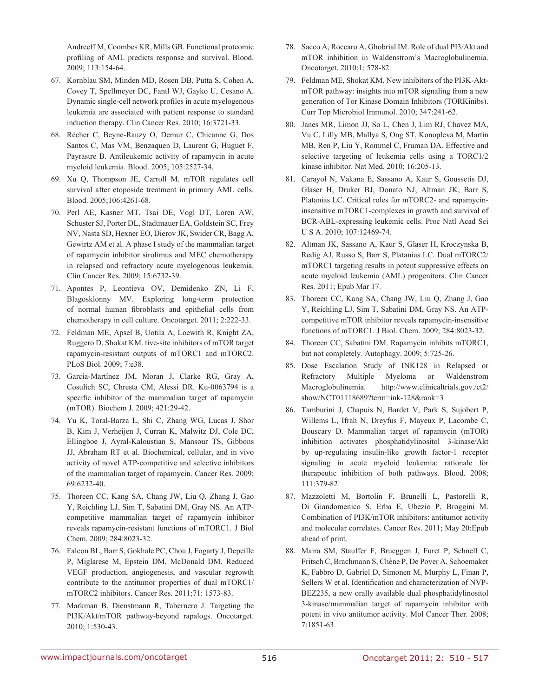Andreeff M, Coombes KR, Mills GB. Functional proteomic profiling of AML predicts response and survival. Blood. 2009; 113:154-64.

- 67. Kornblau SM, Minden MD, Rosen DB, Putta S, Cohen A, Covey T, Spellmeyer DC, Fantl WJ, Gayko U, Cesano A. Dynamic single-cell network profiles in acute myelogenous leukemia are associated with patient response to standard induction therapy. Clin Cancer Res. 2010; 16:3721-33.
- 68. Récher C, Beyne-Rauzy O, Demur C, Chicanne G, Dos Santos C, Mas VM, Benzaquen D, Laurent G, Huguet F, Payrastre B. Antileukemic activity of rapamycin in acute myeloid leukemia. Blood. 2005; 105:2527-34.
- 69. Xu Q, Thompson JE, Carroll M. mTOR regulates cell survival after etoposide treatment in primary AML cells. Blood. 2005;106:4261-68.
- 70. Perl AE, Kasner MT, Tsai DE, Vogl DT, Loren AW, Schuster SJ, Porter DL, Stadtmauer EA, Goldstein SC, Frey NV, Nasta SD, Hexner EO, Dierov JK, Swider CR, Bagg A, Gewirtz AM et al. A phase I study of the mammalian target of rapamycin inhibitor sirolimus and MEC chemotherapy in relapsed and refractory acute myelogenous leukemia. Clin Cancer Res. 2009; 15:6732-39.
- 71. Apontes P, Leontieva OV, Demidenko ZN, Li F, Blagosklonny MV. Exploring long-term protection of normal human fibroblasts and epithelial cells from chemotherapy in cell culture. Oncotarget. 2011; 2:222-33.
- 72. Feldman ME, Apsel B, Uotila A, Loewith R, Knight ZA, Ruggero D, Shokat KM. tive-site inhibitors of mTOR target rapamycin-resistant outputs of mTORC1 and mTORC2. PLoS Biol. 2009; 7:e38.
- 73. García-Martínez JM, Moran J, Clarke RG, Gray A, Cosulich SC, Chresta CM, Alessi DR. Ku-0063794 is a specific inhibitor of the mammalian target of rapamycin (mTOR). Biochem J. 2009; 421:29-42.
- 74. Yu K, Toral-Barza L, Shi C, Zhang WG, Lucas J, Shor B, Kim J, Verheijen J, Curran K, Malwitz DJ, Cole DC, Ellingboe J, Ayral-Kaloustian S, Mansour TS, Gibbons JJ, Abraham RT et al. Biochemical, cellular, and in vivo activity of novel ATP-competitive and selective inhibitors of the mammalian target of rapamycin. Cancer Res. 2009; 69:6232-40.
- 75. Thoreen CC, Kang SA, Chang JW, Liu Q, Zhang J, Gao Y, Reichling LJ, Sim T, Sabatini DM, Gray NS. An ATPcompetitive mammalian target of rapamycin inhibitor reveals rapamycin-resistant functions of mTORC1. J Biol Chem. 2009; 284:8023-32.
- 76. Falcon BL, Barr S, Gokhale PC, Chou J, Fogarty J, Depeille P, Miglarese M, Epstein DM, McDonald DM. Reduced VEGF production, angiogenesis, and vascular regrowth contribute to the antitumor properties of dual mTORC1/ mTORC2 inhibitors. Cancer Res. 2011;71: 1573-83.
- 77. Markman B, Dienstmann R, Tabernero J. Targeting the PI3K/Akt/mTOR pathway-beyond rapalogs. Oncotarget. 2010; 1:530-43.
- 78. Sacco A, Roccaro A, Ghobrial IM. Role of dual PI3/Akt and mTOR inhibition in Waldenstrom's Macroglobulinemia. Oncotarget. 2010;1: 578-82.
- 79. Feldman ME, Shokat KM. New inhibitors of the PI3K-AktmTOR pathway: insights into mTOR signaling from a new generation of Tor Kinase Domain Inhibitors (TORKinibs). Curr Top Microbiol Immunol. 2010; 347:241-62.
- 80. Janes MR, Limon JJ, So L, Chen J, Lim RJ, Chavez MA, Vu C, Lilly MB, Mallya S, Ong ST, Konopleva M, Martin MB, Ren P, Liu Y, Rommel C, Fruman DA. Effective and selective targeting of leukemia cells using a TORC1/2 kinase inhibitor. Nat Med. 2010; 16:205-13.
- 81. Carayol N, Vakana E, Sassano A, Kaur S, Goussetis DJ, Glaser H, Druker BJ, Donato NJ, Altman JK, Barr S, Platanias LC. Critical roles for mTORC2- and rapamycininsensitive mTORC1-complexes in growth and survival of BCR-ABL-expressing leukemic cells. Proc Natl Acad Sci U S A. 2010; 107:12469-74.
- 82. Altman JK, Sassano A, Kaur S, Glaser H, Kroczynska B, Redig AJ, Russo S, Barr S, Platanias LC. Dual mTORC2/ mTORC1 targeting results in potent suppressive effects on acute myeloid leukemia (AML) progenitors. Clin Cancer Res. 2011; Epub Mar 17.
- 83. Thoreen CC, Kang SA, Chang JW, Liu Q, Zhang J, Gao Y, Reichling LJ, Sim T, Sabatini DM, Gray NS. An ATPcompetitive mTOR inhibitor reveals rapamycin-insensitive functions of mTORC1. J Biol. Chem. 2009; 284:8023-32.
- 84. Thoreen CC, Sabatini DM. Rapamycin inhibits mTORC1, but not completely. Autophagy. 2009; 5:725-26.
- 85. Dose Escalation Study of INK128 in Relapsed or Refractory Multiple Myeloma or Waldenstrom Macroglobulinemia. http://www.clinicaltrials.gov./ct2/ show/NCT01118689?term=ink-128&rank=3
- 86. Tamburini J, Chapuis N, Bardet V, Park S, Sujobert P, Willems L, Ifrah N, Dreyfus F, Mayeux P, Lacombe C, Bouscary D. Mammalian target of rapamycin (mTOR) inhibition activates phosphatidylinositol 3-kinase/Akt by up-regulating insulin-like growth factor-1 receptor signaling in acute myeloid leukemia: rationale for therapeutic inhibition of both pathways. Blood. 2008; 111:379-82.
- 87. Mazzoletti M, Bortolin F, Brunelli L, Pastorelli R, Di Giandomenico S, Erba E, Ubezio P, Broggini M. Combination of PI3K/mTOR inhibitors: antitumor activity and molecular correlates. Cancer Res. 2011; May 20:Epub ahead of print.
- 88. Maira SM, Stauffer F, Brueggen J, Furet P, Schnell C, Fritsch C, Brachmann S, Chène P, De Pover A, Schoemaker K, Fabbro D, Gabriel D, Simonen M, Murphy L, Finan P, Sellers W et al. Identification and characterization of NVP-BEZ235, a new orally available dual phosphatidylinositol 3-kinase/mammalian target of rapamycin inhibitor with potent in vivo antitumor activity. Mol Cancer Ther. 2008; 7:1851-63.